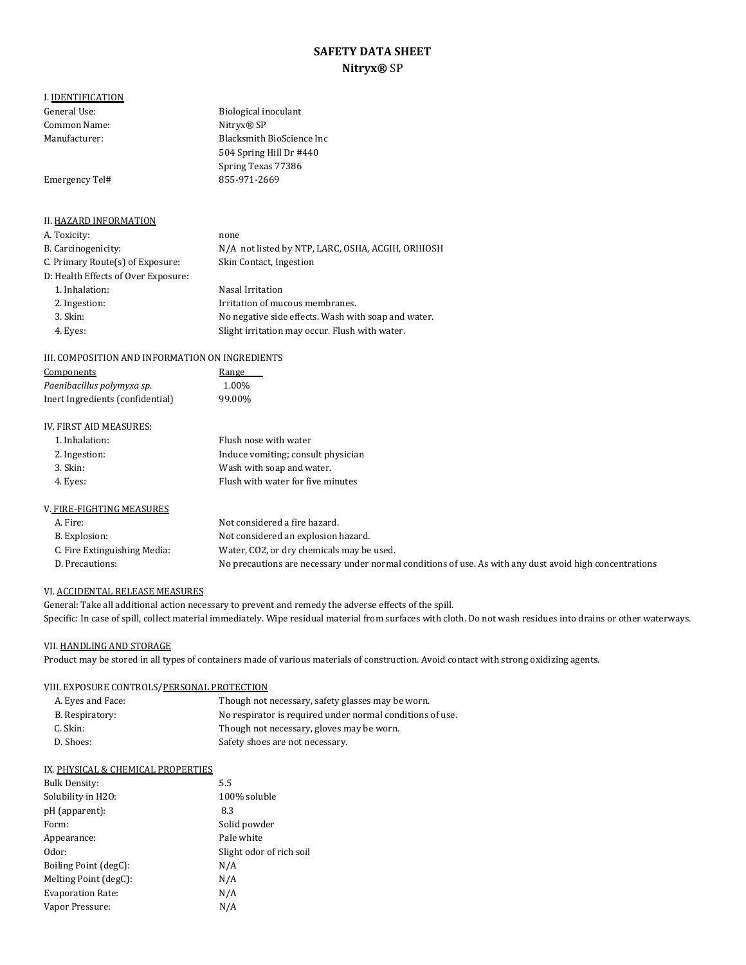# **SAFETY DATA SHEET Nitryx®** SP

I. **IDENTIFICATION**<br>General Use: Common Name:<br>Manufacturer:

Emergency Tel# [855-971-2669](tel:855-971-2669)

Blacksmith BioScience Inc 504 Spring Hill Dr #440 Spring Texas 77386

Biological inoculant<br>Nitryx® SP

## II. HAZARD INFORMATION A. Toxicity: none<br>B. Carcinogenicity:  $N/A$ N/A not listed by NTP, LARC, OSHA, ACGIH, ORHIOSH Skin Contact, Ingestion C. Primary Route(s) of Exposure: D: Health Effects of Over Exposure: 1. Inhalation: Nasal Irritation<br>2. Ingestion: Nasal Irritation of mu 2. Ingestion: Irritation of mucous membranes.<br>3. Skin: Interval and Monegative side effects. Wash with the membranes. No negative side effects. Wash with soap and water. 4. Eyes: Slight irritation may occur. Flush with water.

## III. COMPOSITION AND INFORMATION ON INGREDIENTS

| Components                       | Range  |
|----------------------------------|--------|
| Paenibacillus polymyxa sp.       | 1.00%  |
| Inert Ingredients (confidential) | 99.00% |

#### IV. FIRST AID MEASURES:

| 1. Inhalation:           | Flush nose with water              |
|--------------------------|------------------------------------|
| 2. Ingestion:            | Induce vomiting; consult physician |
| 3. Skin:                 | Wash with soap and water.          |
| 4. Eyes:                 | Flush with water for five minutes  |
|                          |                                    |
| V FIDE_FICHTINC MEACHDEC |                                    |

| V. FIRE-FIGHTING MEASURES    |                                                                                                         |
|------------------------------|---------------------------------------------------------------------------------------------------------|
| A. Fire:                     | Not considered a fire hazard.                                                                           |
| B. Explosion:                | Not considered an explosion hazard.                                                                     |
| C. Fire Extinguishing Media: | Water, CO2, or dry chemicals may be used.                                                               |
| D. Precautions:              | No precautions are necessary under normal conditions of use. As with any dust avoid high concentrations |
|                              |                                                                                                         |

#### VI. ACCIDENTAL RELEASE MEASURES

General: Take all additional action necessary to prevent and remedy the adverse effects of the spill. Specific: In case of spill, collect material immediately. Wipe residual material from surfaces with cloth. Do not wash residues into drains or other waterways.

### VII. HANDLING AND STORAGE

Product may be stored in all types of containers made of various materials of construction. Avoid contact with strong oxidizing agents.

## VIII. EXPOSURE CONTROLS/PERSONAL PROTECTION

| A. Eyes and Face: | Though not necessary, safety glasses may be worn.         |
|-------------------|-----------------------------------------------------------|
| B. Respiratory:   | No respirator is required under normal conditions of use. |
| C. Skin:          | Though not necessary, gloves may be worn.                 |
| D. Shoes:         | Safety shoes are not necessary.                           |

#### IX. PHYSICAL & CHEMICAL PROPERTIES

| <b>Bulk Density:</b>     | 5.5                      |
|--------------------------|--------------------------|
| Solubility in H2O:       | 100% soluble             |
| pH (apparent):           | 8.3                      |
| Form:                    | Solid powder             |
| Appearance:              | Pale white               |
| Odor:                    | Slight odor of rich soil |
| Boiling Point (degC):    | N/A                      |
| Melting Point (degC):    | N/A                      |
| <b>Evaporation Rate:</b> | N/A                      |
| Vapor Pressure:          | N/A                      |